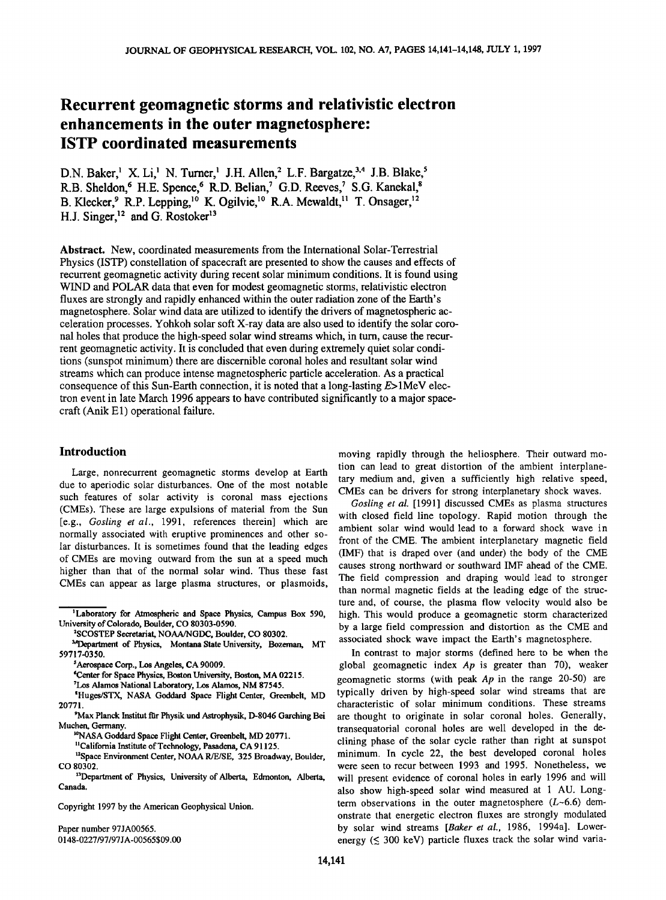# **Recurrent geomagnetic storms and relativistic electron enhancements in the outer magnetosphere: ISTP coordinated measurements**

D.N. Baker,<sup>1</sup> X. Li,<sup>1</sup> N. Turner,<sup>1</sup> J.H. Allen,<sup>2</sup> L.F. Bargatze,<sup>3,4</sup> J.B. Blake,<sup>5</sup> R.B. Sheldon,<sup>6</sup> H.E. Spence,<sup>6</sup> R.D. Belian,<sup>7</sup> G.D. Reeves,<sup>7</sup> S.G. Kanekal,<sup>8</sup> B. Klecker, <sup>9</sup> R.P. Lepping, <sup>10</sup> K. Ogilvie, <sup>10</sup> R.A. Mewaldt, <sup>11</sup> T. Onsager, <sup>12</sup> **H.J. Singer, <sup>12</sup> and G. Rostoker<sup>13</sup>** 

**Abstract. New, coordinated measurements from the International Solar-Terrestrial Physics (ISTP) constellation of spacecraft are presented to show the causes and effects of recurrent geomagnetic activity during recent solar minimum conditions. It is found using WIND and POLAR data that even for modest geomagnetic storms, relativistic electron**  fluxes are strongly and rapidly enhanced within the outer radiation zone of the Earth's **magnetosphere. Solar wind data are utilized to identify the drivers of magnetospheric acceleration processes. Yohkoh solar soft X-ray data are also used to identify the solar coronal holes that produce the high-speed solar wind streams which, in turn, cause the recurrent geomagnetic activity. It is concluded that even during extremely quiet solar conditions (sunspot minimum) there are discernible coronal holes and resultant solar wind streams which can produce intense magnetospheric particle acceleration. As a practical consequence of this Sun-Earth connection, it is noted that a long-lasting E> 1MeV electron event in late March 1996 appears to have contributed significantly to a major space**craft (Anik E1) operational failure.

### **Introduction**

**Large, nonrecurrent geomagnetic storms develop at Earth due to aperiodic solar disturbances. One of the most notable such features of solar activity is coronal mass ejections (CMEs). These are large expulsions of material from the Sun [e.g., Gosling et al., 1991, references therein] which are normally associated with eruptive prominences and other solar disturbances. It is sometimes found that the leading edges of CMEs are moving outward from the sun at a speed much higher than that of the normal solar wind. Thus these fast CMEs can appear as large plasma structures, or plasmoids,** 

- **SHuges/STX, NASA Goddard Space Flight Center, Greenbelt, MD 20771.**
- **9Max Planck Institut flir Physik und Astrophysik, D-8046 Garching Bei Muchen, Germany.** 
	- <sup>10</sup>NASA Goddard Space Flight Center, Greenbelt, MD 20771.
	- <sup>11</sup>California Institute of Technology, Pasadena, CA 91125.

<sup>13</sup>Department of Physics, University of Alberta, Edmonton, Alberta, **Canada.** 

**Paper number 97JA00565. 0148-0227/97/97 J A-00565 \$09.00**  **moving rapidly through the heliosphere. Their outward motion can lead to great distortion of the ambient interplanetary medium and, given a sufficiently high relative speed, CMEs can be drivers for strong interplanetary shock waves.** 

**Gosling et al. [1991] discussed CMEs as plasma structures with closed field line topology. Rapid motion through the ambient solar wind would lead to a forward shock wave in front of the CME. The ambient interplanetary magnetic field (IMF) that is draped over (and under) the body of the CME causes strong northward or southward IMF ahead of the CME. The field compression and draping would lead to stronger than normal magnetic fields at the leading edge of the structure and, of course, the plasma flow velocity would also be high. This would produce a geomagnetic storm characterized by a large field compression and distortion as the CME and associated shock wave impact the Earth's magnetosphere.** 

**In contrast to major storms (defined here to be when the global geomagnetic index Ap is greater than 70), weaker geomagnetic storms (with peak Ap in the range 20-50) are typically driven by high-speed solar wind streams that are characteristic of solar minimum conditions. These streams are thought to originate in solar coronal holes. Generally, transequatorial coronal holes are well developed in the declining phase of the solar cycle rather than right at sunspot minimum. In cycle 22, the best developed coronal holes were seen to recur between 1993 and 1995. Nonetheless, we will present evidence of coronal holes in early 1996 and will also show high-speed solar wind measured at 1 AU. Longterm observations in the outer magnetosphere (L-6.6) demonstrate that energetic electron fluxes are strongly modulated by solar wind streams [Baker et al., 1986, 1994a]. Lower**energy ( $\leq$  300 keV) particle fluxes track the solar wind varia-

**<sup>•</sup>Laboratory for Atmospheric and Space Physics, Campus Box 590, University of Colorado, Boulder, CO 80303-0590.** 

**<sup>2</sup>SCOSTEP Secretariat, NOAA/NGDC, Boulder, CO 80302.** 

**x\*13epartment of Physics, Montana State University, Bozeman, MT 59717-0350.** 

**<sup>•</sup>Aerospace Corp., Los Angeles, CA 90009.** 

**<sup>6</sup>Center for Space Physics, Boston University, Boston, MA 02215.** 

**<sup>7</sup>Los Alamos National Laboratory, LOs Alamos, NM 87545.** 

<sup>&</sup>lt;sup>12</sup> Space Environment Center, NOAA R/E/SE, 325 Broadway, Boulder, **CO 80302.** 

**Copyright 1997 by the American Geophysical Union.**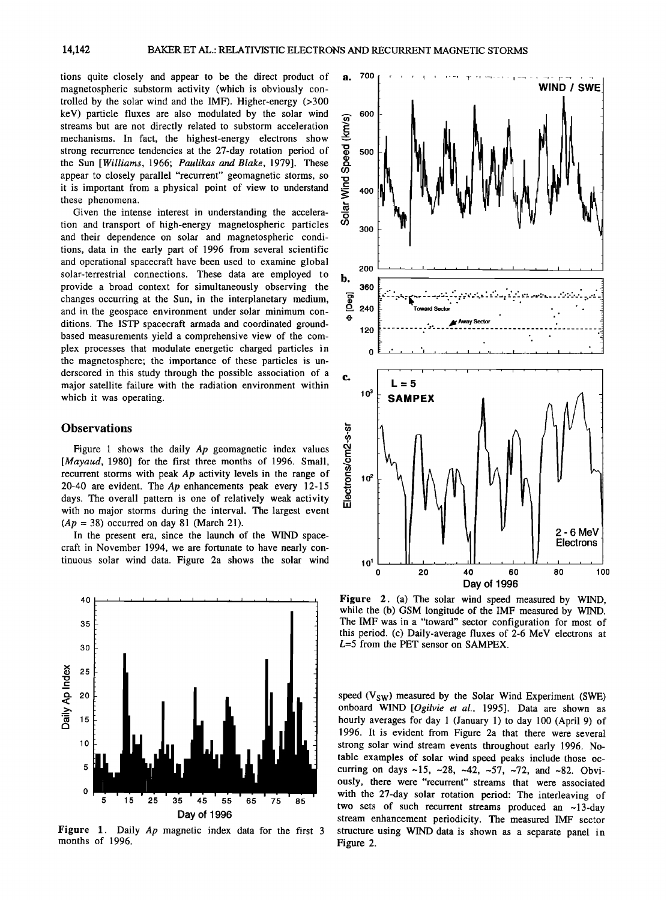**tions quite closely and appear to be the direct product of magnetospheric substorm activity (which is obviously controlled by the solar wind and the IMF). Higher-energy (>300 keV) particle fluxes are also modulated by the solar wind streams but are not directly related to substorm acceleration mechanisms. In fact, the highest-energy electrons show strong recurrence tendencies at the 27-day rotation period of the Sun [Williams, 1966; Paulikas and Blake, 1979]. These appear to closely parallel "recurrent" geomagnetic storms, so it is important from a physical point of view to understand these phenomena.** 

**Given the intense interest in understanding the acceleration and transport of high-energy magnetospheric particles and their dependence on solar and magnetospheric conditions, data in the early part of 1996 from several scientific and operational spacecraft have been used to examine global solar-terrestrial connections. These data are employed to provide a broad context for simultaneously observing the changes occurring at the Sun, in the interplanetary medium, and in the geospace environment under solar minimum conditions. The ISTP spacecraft armada and coordinated groundbased measurements yield a comprehensive view of the complex processes that modulate energetic charged particles in the magnetosphere; the importance of these particles is underscored in this study through the possible association of a major satellite failure with the radiation environment within which it was operating.** 

## **Observations**

**Figure 1 shows the daily Ap geomagnetic index values**  [*Mayaud*, 1980] for the first three months of 1996. Small, **recurrent storms with peak Ap activity levels in the range of 20-40 are evident. The Ap enhancements peak every 12-15 days. The overall pattern is one of relatively weak activity with no major storms during the interval. The largest event**   $(Ap = 38)$  occurred on day 81 (March 21).

**In the present era, since the launch of the WIND spacecraft in November 1994, we are fortunate to have nearly continuous solar wind data. Figure 2a shows the solar wind** 



**Figure 1. Daily Ap magnetic index data for the first 3 months of 1996.** 



**Figure 2. (a) The solar wind speed measured by WIND, while the (b) GSM longitude of the IMF measured by WIND. The IMF was in a "toward" sector configuration for most of this period. (c) Daily-average fluxes of 2-6 MeV electrons at L=5 from the PET sensor on SAMPEX.** 

speed (V<sub>SW</sub>) measured by the Solar Wind Experiment (SWE) **onboard WIND [Ogilvie et al., 1995]. Data are shown as hourly averages for day 1 (January 1) to day 100 (April 9) of 1996. It is evident from Figure 2a that there were several strong solar wind stream events throughout early 1996. Notable examples of solar wind speed peaks include those occurring on days-15, -28, -42, -57, -72, and -82. Obviously, there were "recurrent" streams that were associated with the 27-day solar rotation period: The interleaving of two sets of such recurrent streams produced an -13-day stream enhancement periodicity. The measured IMF sector structure using WIND data is shown as a separate panel in Figure 2.**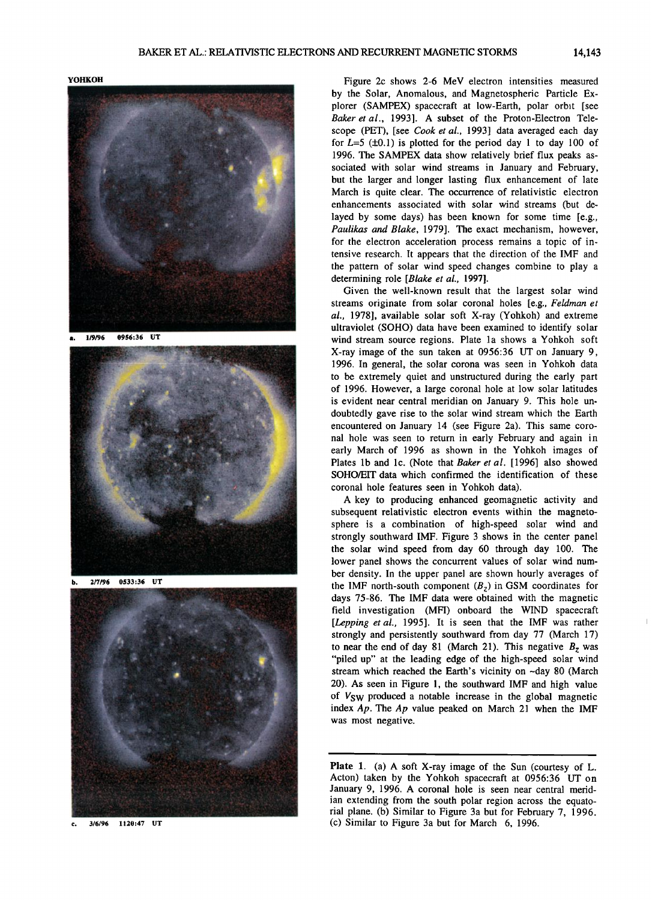**YOHKOH** 



**a. 119/96 0956:36 UT** 



**b. 2/7/96 0533:36 UT** 



**3/6/96 II20:47 UT**  e.

**Figure 2c shows 2-6 MeV electron intensities measured by the Solar, Anomalous, and Magnetospheric Particle Ex**plorer (SAMPEX) spacecraft at low-Earth, polar orbit [see **Baker et al., 1993]. A subset of the Proton-Electron Telescope (PET), [see Cook et al., 1993] data averaged each day**  for  $L=5$  ( $\pm 0.1$ ) is plotted for the period day 1 to day 100 of **1996. The SAMPEX data show relatively brief flux peaks associated with solar wind streams in January and February, but the larger and longer lasting flux enhancement of late March is quite clear. The occurrence of relativistic electron enhancements associated with solar wind streams (but delayed by some days) has been known for some time [e.g., Paulikas and Blake, 1979]. The exact mechanism, however, for the electron acceleration process remains a topic of intensive research. It appears that the direction of the IMF and the pattern of solar wind speed changes combine to play a determining role [Blake et al., 1997].** 

**Given the well-known result that the largest solar wind streams originate from solar coronal holes [e.g., Feldman et al., 1978], available solar soft X-ray (Yohkoh) and extreme ultraviolet (SOHO) data have been examined to identify solar**  wind stream source regions. Plate 1a shows a Yohkoh soft **X-ray image of the sun taken at 0956:36 UT on January 9, 1996. In general, the solar corona was seen in Yohkoh data to be extremely quiet and unstructured during the early part of 1996. However, a large coronal hole at low solar latitudes is evident near central meridian on January 9. This hole undoubtedly gave rise to the solar wind stream which the Earth encountered on January 14 (see Figure 2a). This same coronal hole was seen to return in early February and again in early March of 1996 as shown in the Yohkoh images of Plates lb and lc. (Note that Baker et al. [1996] also showed SOHO/EIT data which confirmed the identification of these coronal hole features seen in Yohkoh data).** 

**A key to producing enhanced geomagnetic activity and subsequent relativistic electron events within the magnetosphere is a combination of high-speed solar wind and strongly southward IMF. Figure 3 shows in the center panel the solar wind speed from day 60 through day 100. The lower panel shows the concurrent values of solar wind number density. In the upper panel are shown hourly averages of**  the IMF north-south component  $(B_7)$  in GSM coordinates for **days 75-86. The IMF data were obtained with the magnetic field investigation (MFI) onboard the WIND spacecraft [Lepping et al., 1995]. It is seen that the IMF was rather strongly and persistently southward from day 77 (March 17)**  to near the end of day 81 (March 21). This negative  $B_z$  was **"piled up" at the leading edge of the high-speed solar wind**  stream which reached the Earth's vicinity on ~day 80 (March **20). As seen in Figure 1, the southward IMF and high value of VSW produced a notable increase in the global magnetic index Ap. The Ap value peaked on March 21 when the IMF was most negative.** 

**Plate 1. (a) A soft X-ray image of the Sun (courtesy of L. Acton) taken by the Yohkoh spacecraft at 0956:36 UT on January 9, 1996. A coronal hole is seen near central meridian extending from the south polar region across the equatorial plane. (b) Similar to Figure 3a but for February 7, 1996. (c) Similar to Figure 3a but for March 6, 1996.**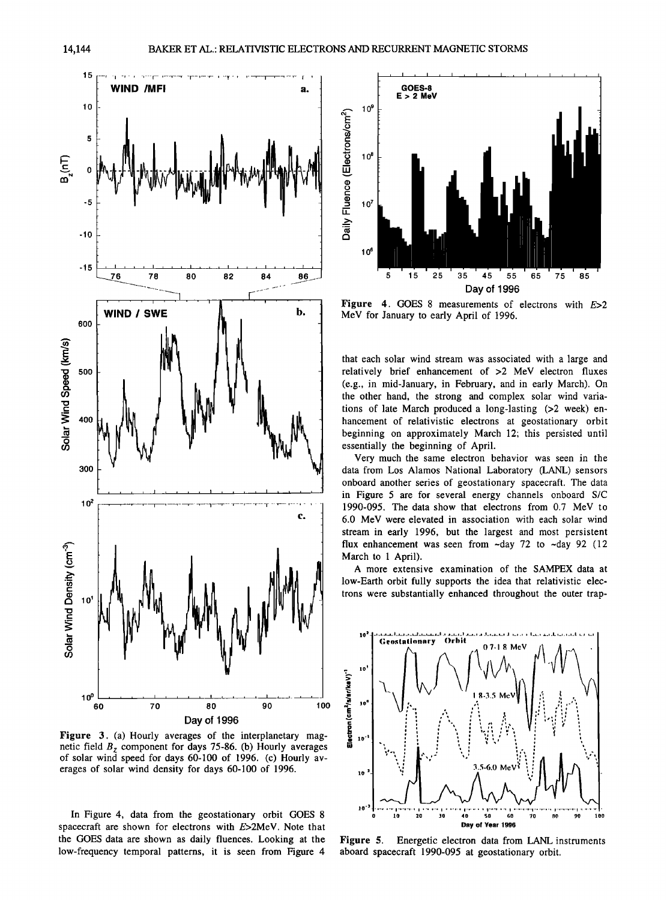

**Figure 3.** (a) Hourly averages of the interplanetary magnetic field  $B<sub>z</sub>$  component for days 75-86. (b) Hourly averages **of solar wind speed for days 60-100 of 1996. (c) Hourly averages of solar wind density for days 60-100 of 1996.** 

**In Figure 4, data from the geostationary orbit GOES 8 spacecraft are shown for electrons with E>2MeV. Note that the GOES data are shown as daily fluences. Looking at the low-frequency temporal patterns, it is seen from Figure 4** 



**Figure 4. GOES 8 measurements of electrons with E>2 MeV for January to early April of 1996.** 

**that each solar wind stream was associated with a large and relatively brief enhancement of >2 MeV electron fluxes (e.g., in mid-January, in February, and in early March). On the other hand, the strong and complex solar wind variations of late March produced a long-lasting (>2 week) enhancement of relativistic electrons at geostationary orbit beginning on approximately March 12; this persisted until essentially the beginning of April.** 

**Very much the same electron behavior was seen in the data from Los Alamos National Laboratory (LANL) sensors onboard another series of geostationary spacecraft. The data in Figure 5 are for several energy channels onboard S/C 1990-095. The data show that electrons from 0.7 MeV to 6.0 MeV were elevated in association with each solar wind stream in early 1996, but the largest and most persistent**  flux enhancement was seen from  $-\text{day}$  72 to  $-\text{day}$  92 (12) **March to 1 April).** 

**A more extensive examination of the SAMPEX data at low-Earth orbit fully supports the idea that relativistic electrons were substantially enhanced throughout the outer trap-** 



**Figure 5. Energetic electron data from LANL instruments aboard spacecraft 1990-095 at geostationary orbit.**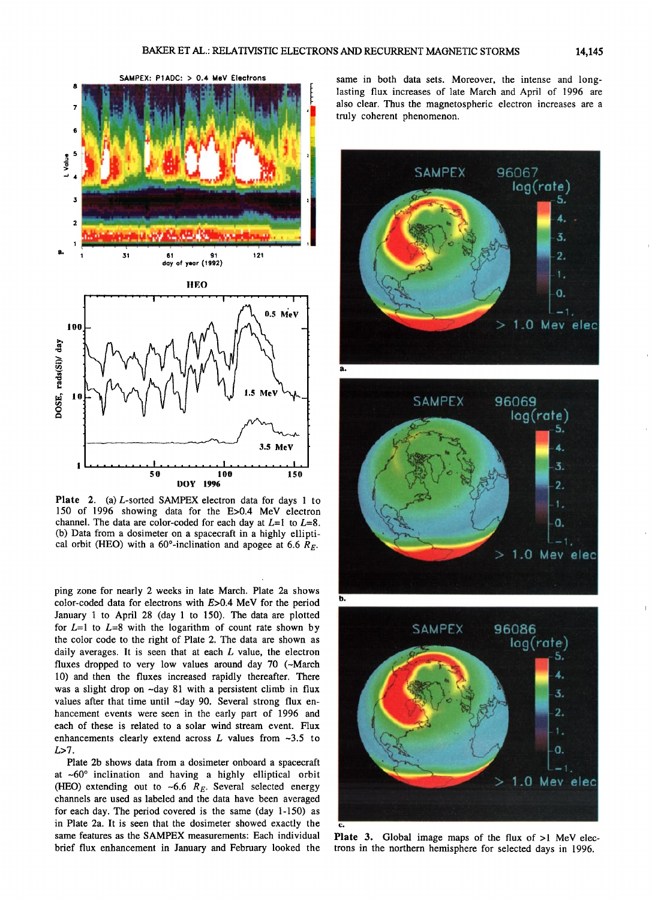

**Plate 2. (a) L-sorted SAMPEX electron data for days 1 to 150 of 1996 showing data for the E>0.4 MeV electron**  channel. The data are color-coded for each day at  $L=1$  to  $L=8$ . **(b) Data from a dosimeter on a spacecraft in a highly ellipti- .**  cal orbit (HEO) with a  $60^\circ$ -inclination and apogee at 6.6  $R_F$ .

**ping zone for nearly 2 weeks in late March. Plate 2a shows color-coded data for electrons with E>0.4 MeV for the period January 1 to April 28 (day I to 150). The data are plotted**  for  $L=1$  to  $L=8$  with the logarithm of count rate shown by **the color code to the right of Plate 2. The data are shown as daily averages. It is seen that at each L value, the electron fluxes dropped to very low values around day 70 (-March 10) and then the fluxes increased rapidly thereafter. There was a slight drop on -day 81 with a persistent climb in flux**  values after that time until ~day 90. Several strong flux en**hancement events were seen in the early part of 1996 and each of these is related to a solar wind stream event. Flux enhancements clearly extend across L values from ~3.5 to L>7.** 

**Plate 2b shows data from a dosimeter onboard a spacecraft**  at ~60° inclination and having a highly elliptical orbit (HEO) extending out to  $\sim$  6.6  $R_E$ . Several selected energy **channels are used as labeled and the data have been averaged for each day. The period covered is the same (day 1-150) as in Plate 2a. It is seen that the dosimeter showed exactly the same features as the SAMPEX measurements: Each individual brief flux enhancement in January and February looked the**  **same in both data sets. Moreover, the intense and longlasting flux increases of late March and April of 1996 are also clear. Thus the magnetospheric electron increases are a truly coherent phenomenon.** 



**Plate 3. Global image maps of the flux of >1 MeV electrons in the northern hemisphere for selected days in 1996.**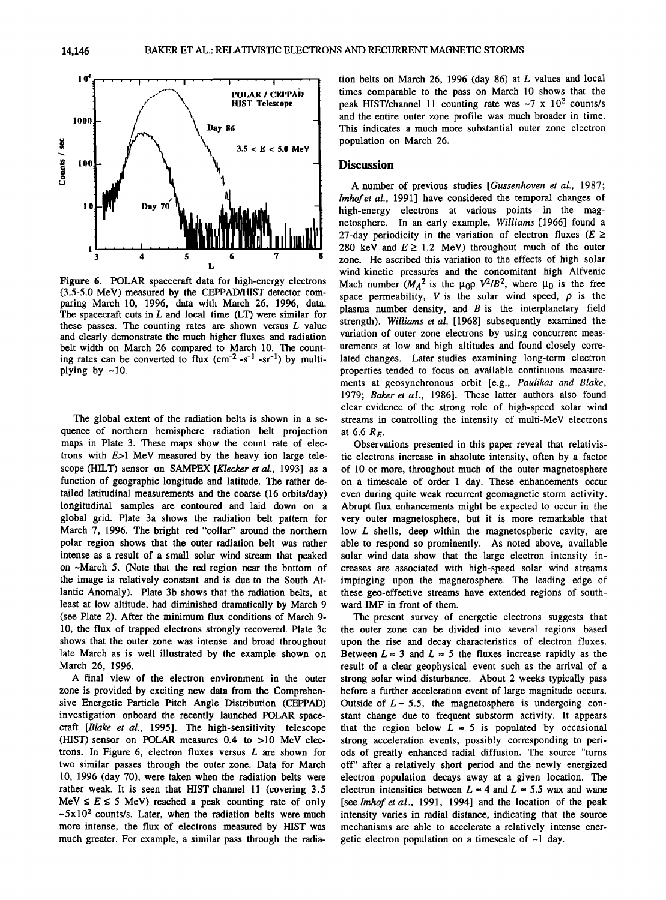

**Figure 6. POLAR spacecraft data for high-energy electrons (3.5-5.0 MeV) measured by the CEPPAD/HIST detector comparing March 10, 1996, data with March 26, 1996, data. The spacecraft cuts in L and local time (LT) were similar for these passes. The counting rates are shown versus L value and clearly demonstrate the much higher fluxes and radiation belt width on March 26 compared to March 10. The count**ing rates can be converted to flux (cm<sup>-2</sup> -s<sup>-1</sup> -sr<sup>-1</sup>) by multiplying by  $\sim$ 10.

**The global extent of the radiation belts is shown in a sequence of northern hemisphere radiation belt projection maps in Plate 3. These maps show the count rate of electrons with E>I MeV measured by the heavy ion large tele**scope (HILT) sensor on SAMPEX [Klecker et al., 1993] as a **function of geographic longitude and latitude. The rather detailed latitudinal measurements and the coarse (16 orbits/day) longitudinal samples are contoured and laid down on a global grid. Plate 3a shows the radiation belt pattern for March 7, 1996. The bright red "collar" around the northern polar region shows that the outer radiation belt was rather intense as a result of a small solar wind stream that peaked on-March 5. (Note that the red region near the bottom of the image is relatively constant and is due to the South Atlantic Anomaly). Plate 3b shows that the radiation belts, at least at low altitude, had diminished dramatically by March 9 (see Plate 2). After the minimum flux conditions of March 9- 10, the flux of trapped electrons strongly recovered. Plate 3c shows that the outer zone was intense and broad throughout late March as is well illustrated by the example shown on March 26, 1996.** 

**A final view of the electron environment in the outer zone is provided by exciting new data from the Comprehensive Energetic Particle Pitch Angle Distribution (CEPPAD) investigation onboard the recently launched POLAR spacecraft [Blake et al., 1995]. The high-sensitivity telescope (HIST) sensor on POLAR measures 0.4 to >10 MeV electrons. In Figure 6, electron fluxes versus L are shown for two similar passes through the outer zone. Data for March 10, 1996 (day 70), were taken when the radiation belts were rather weak. It is seen that HIST channel 11 (covering 3.5**   $MeV \leq E \leq 5$  MeV) reached a peak counting rate of only **-5x102 counts/s. Later, when the radiation belts were much more intense, the flux of electrons measured by HIST was much greater. For example, a similar pass through the radia-** **tion belts on March 26, 1996 (day 86) at L values and local times comparable to the pass on March 10 shows that the peak HIST/channel 11 counting rate was -7 x 103 counts/s and the entire outer zone profile was much broader in time. This indicates a much more substantial outer zone electron population on March 26.** 

#### **Discussion**

**A number of previous studies [Gussenhoven etal., 1987; Imhofet al., 1991] have considered the temporal changes of high-energy electrons at various points in the magnetosphere. In an early example, Williams [1966] found a**  27-day periodicity in the variation of electron fluxes ( $E \ge$ 280 keV and  $E \ge 1.2$  MeV) throughout much of the outer **zone. He ascribed this variation to the effects of high solar wind kinetic pressures and the concomitant high Alfvenic**  Mach number  $(M_A^2$  is the  $\mu_0 \rho V^2/B^2$ , where  $\mu_0$  is the free space permeability,  $V$  is the solar wind speed,  $\rho$  is the **plasma number density, and B is the interplanetary field strength). Williams et al. [1968] subsequently examined the variation of outer zone electrons by using concurrent measurements at low and high altitudes and found closely correlated changes. Later studies examining long-term electron properties tended to focus on available continuous measurements at geosynchronous orbit [e.g., Paulikas and Blake, 1979; Baker et al., 1986]. These latter authors also found clear evidence of the strong role of high-speed solar wind streams in controlling the intensity of multi-MeV electrons**  at 6.6  $R_E$ .

**Observations presented in this paper reveal that relativistic electrons increase in absolute intensity, often by a factor of 10 or more, throughout much of the outer magnetosphere on a timescale of order 1 day. These enhancements occur even during quite weak recurrent geomagnetic storm activity. Abrupt flux enhancements might be expected to occur in the very outer magnetosphere, but it is more remarkable that low L shells, deep within the magnetospheric cavity, are able to respond so prominently. As noted above, available solar wind data show that the large electron intensity increases are associated with high-speed solar wind streams impinging upon the magnetosphere. The leading edge of these geo-effective streams have extended regions of southward IMF in front of them.** 

**The present survey of energetic electrons suggests that the outer zone can be divided into several regions based upon the rise and decay characteristics of electron fluxes.**  Between  $L \approx 3$  and  $L \approx 5$  the fluxes increase rapidly as the **result of a clear geophysical event such as the arrival of a strong solar wind disturbance. About 2 weeks typically pass before a further acceleration event of large magnitude occurs. Outside of L-5.5, the magnetosphere is undergoing constant change due to frequent substorm activity. It appears**  that the region below  $L \approx 5$  is populated by occasional **strong acceleration events, possibly corresponding to periods of greatly enhanced radial diffusion. The source "turns off" after a relatively short period and the newly energized electron population decays away at a given location. The**  electron intensities between  $L \approx 4$  and  $L \approx 5.5$  wax and wane [see *Imhof et al.,* 1991, 1994] and the location of the peak **intensity varies in radial distance, indicating that the source mechanisms are able to accelerate a relatively intense energetic electron population on a timescale of-1 day.**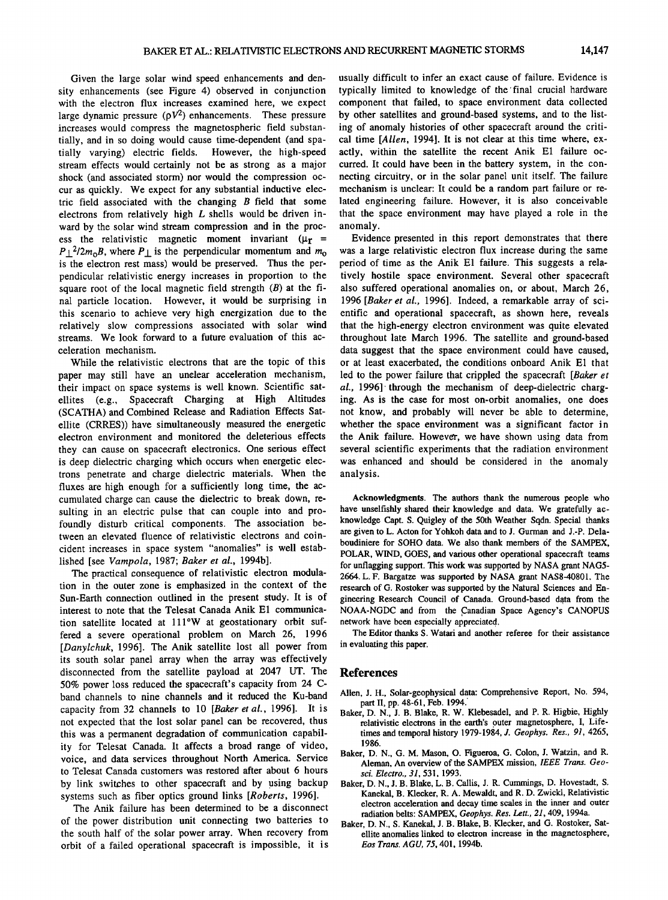**Given the large solar wind speed enhancements and density enhancements (see Figure 4) observed in conjunction with the electron flux increases examined here, we expect**  large dynamic pressure  $(pV^2)$  enhancements. These pressure **increases would compress the magnetospheric field substantially, and in so doing would cause time-dependent (and spatially varying) electric fields. However, the high-speed stream effects would certainly not be as strong as a major shock (and associated storm) nor would the compression occur as quickly. We expect for any substantial inductive electric field associated with the changing B field that some electrons from relatively high L shells would be driven inward by the solar wind stream compression and in the proc**ess the relativistic magnetic moment invariant  $(\mu_r =$  $P_{\perp}^2/2m_0B$ , where  $P_{\perp}$  is the perpendicular momentum and  $m_0$ **is the electron rest mass) would be preserved. Thus the perpendicular relativistic energy increases in proportion to the square root of the local magnetic field strength (B) at the final particle location. However, it would be surprising in this scenario to achieve very high energization due to the relatively slow compressions associated with solar wind streams. We look forward to a future evaluation of this acceleration mechanism.** 

**While the relativistic electrons that are the topic of this paper may still have an unclear acceleration mechanism, their impact on space systems is well known. Scientific satellites (e.g., Spacecraft Charging at High Altitudes (SCATHA) and Combined Release and Radiation Effects Sat**ellite (CRRES)) have simultaneously measured the energetic **electron environment and monitored the deleterious effects they can cause on spacecraft electronics. One serious effect is deep dielectric charging which occurs when energetic electrons penetrate and charge dielectric materials. When the fluxes are high enough for a sufficiently long time, the accumulated charge can cause the dielectric to break down, resulting in an electric pulse that can couple into and profoundly disturb critical components. The association between an elevated fluence of relativistic electrons and coincident increases in space system "anomalies" is well established [see Vampola, 1987; Baker et al., 1994b].** 

**The practical consequence of relativistic electron modulation in the outer zone is emphasized in the context of the Sun-Earth connection outlined in the present study. It is of interest to note that the Telesat Canada Anik E1 communication satellite located at 111øW at geostationary orbit suffered a severe operational problem on March 26, 1996 [Danylchuk, 1996]. The Anik satellite lost all power from its south solar panel array when the array was effectively disconnected from the satellite payload at 2047 UT. The 50% power loss reduced the spacecraft's capacity from 24 Cband channels to nine channels and it reduced the Ku-band capacity from 32 channels to 10 [Baker et al., 1996]. It is not expected that the lost solar panel can be recovered, thus this was a permanent degradation of communication capability for Telesat Canada. It affects a broad range of video, voice, and data services throughout North America. Service to Telesat Canada customers was restored after about 6 hours by link switches to other spacecraft and by using backup systems such as fiber optics ground links [Roberts, 1996].** 

**The Anik failure has been determined to be a disconnect of the power distribution unit connecting two batteries to the south half of the solar power array. When recovery from orbit of a failed operational spacecraft is impossible, it is**  **usually difficult to infer an exact cause of failure. Evidence is typically limited to knowledge of the'final crucial hardware component that failed, to space environment data collected by other satellites and ground-based systems, and to the listing of anomaly histories of other spacecraft around the critical time [Allen, 1994]. It is not clear at this time where, exactly, within the satellite the recent Anik E1 failure occurred. It could have been in the battery system, in the connecting circuitry, or in the solar panel unit itself. The failure mechanism is unclear: It could be a random part failure or related engineering failure. However, it is also conceivable that the space environment may have played a role in the anomaly.** 

**Evidence presented in this report demonstrates that there was a large relativistic electron flux increase during the same period of time as the Anik E1 failure. This suggests a relatively hostile space environment. Several other spacecraft also suffered operational anomalies on, or about, March 26, 1996 [Baker et al., 1996]. Indeed, a remarkable array of scientific and operational spacecraft, as shown here, reveals that the high-energy electron environment was quite elevated throughout late March 1996. The satellite and ground-based data suggest that the space environment could have caused, or at least exacerbated, the conditions onboard Anik E1 that led to the power failure that crippled the spacecraft [Baker et al., 1996]-through the mechanism of deep-dielectric charging. As is the case for most on-orbit anomalies, one does not know, and probably will never be able to determine, whether the space environment was a significant factor in**  the Anik failure. However, we have shown using data from **several scientific experiments that the radiation environment was enhanced and should be considered in the anomaly analysis.** 

**Acknowledgments. The authors thank the numerous people who have unselfishly shared their knowledge and data. We gratefully acknowledge Capt. S. Quigley of the 50th Weather Sqdn. Special thanks are given to L. Acton for Yohkoh data and to J. Gurrnan and J.-P. Delaboudiniere for SOHO data. We also thank members 6f the SAMPEX, POLAR, WIND, GOES, and various other operational spacecraft teams for unflagging support. This work was supported by NASA grant NAG5- 2664. L. F. Bargatze was supported by NASA grant NAS8-40801. The research of G. Rostoker was supported by the Natural Sciences and Engineering Research Council of Canada. Ground-based data from the**  NOAA-NGDC and from the Canadian Space Agency's CANOPUS **network have been especially appreciated.** 

**The Editor thanks S. Watari and another referee for their assistance in evaluating this paper.** 

#### **References**

- **Allen, J. H., Solar-geophysical data: Comprehensive Report, No. 594,**  part II, pp. 48-61, Feb. 1994.
- **Baker, D. N., J. B. Blake, R. W. Klebesadel, and P. R. Higbie, Highly**  relativistic electrons in the earth's outer magnetosphere, I, Life**times and temporal history 1979-1984, J. Geophys. Res., 91, 4265, 1986.**
- **Baker, D. N., G. M. Mason, O. Figueroa, G. Colon, J. Watzin, and R. Aleman, An overview of the SAMPEX mission, IEEE Trans. Geosci. Electro., 31,531, 1993.**
- **Baker, D. N., J. B. Blake, L. B. Callis, J. R. Cummings, D. Hovestadt, S. Kanekal, B. Klecker, R. A. Mewaldt, and R. D. Zwickl, Relativistic electron acceleration and decay time scales in the inner and outer radiation belts: SAMPEX, Geophys. Res. Lett., 21,409, 1994a.**
- **Baker, D. N., S. Kanekal, J. B. Blake, B. Klecker, and G. Rostoker, Satellite anomalies linked to electron increase in the magnetosphere, Eos Trans. AGU, 75, 401, 1994b.**